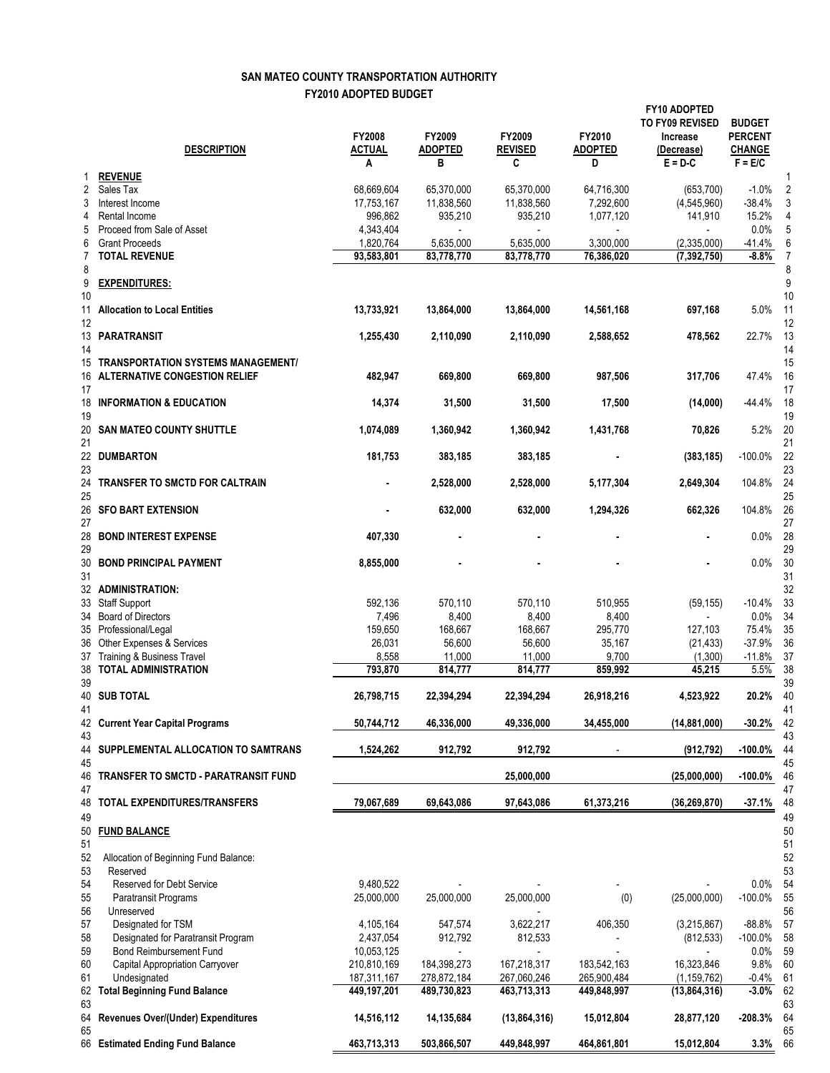## **SAN MATEO COUNTY TRANSPORTATION AUTHORITY FY2010 ADOPTED BUDGET**

|                | <b>DESCRIPTION</b>                                                         | FY2008<br><b>ACTUAL</b>   | FY2009<br><b>ADOPTED</b> | FY2009<br><b>REVISED</b> | FY2010<br><b>ADOPTED</b> | <b>FY10 ADOPTED</b><br>TO FY09 REVISED<br>Increase<br>(Decrease) | <b>BUDGET</b><br><b>PERCENT</b><br><b>CHANGE</b> |                |
|----------------|----------------------------------------------------------------------------|---------------------------|--------------------------|--------------------------|--------------------------|------------------------------------------------------------------|--------------------------------------------------|----------------|
| 1              | <b>REVENUE</b>                                                             | Α                         | B                        | C                        | D                        | $E = D C$                                                        | $F = E/C$                                        | 1              |
| 2              | Sales Tax                                                                  | 68,669,604                | 65,370,000               | 65,370,000               | 64,716,300               | (653, 700)                                                       | $-1.0%$                                          | $\overline{2}$ |
| 3              | Interest Income                                                            | 17,753,167                | 11,838,560               | 11,838,560               | 7,292,600                | (4,545,960)                                                      | $-38.4%$                                         | 3              |
| 4              | Rental Income                                                              | 996,862                   | 935,210                  | 935,210                  | 1,077,120                | 141,910                                                          | 15.2%                                            | 4              |
| 5              | Proceed from Sale of Asset                                                 | 4,343,404                 |                          |                          |                          |                                                                  | 0.0%                                             | 5              |
| 6              | <b>Grant Proceeds</b>                                                      | 1,820,764                 | 5,635,000                | 5,635,000                | 3,300,000                | (2,335,000)                                                      | $-41.4%$                                         | 6              |
| 7              | <b>TOTAL REVENUE</b>                                                       | 93,583,801                | 83,778,770               | 83,778,770               | 76,386,020               | (7, 392, 750)                                                    | $-8.8%$                                          | 7              |
| 8<br>9<br>10   | <b>EXPENDITURES:</b>                                                       |                           |                          |                          |                          |                                                                  |                                                  | 8<br>9<br>10   |
| 11<br>12       | <b>Allocation to Local Entities</b>                                        | 13,733,921                | 13,864,000               | 13,864,000               | 14,561,168               | 697,168                                                          | 5.0%                                             | 11<br>12       |
| 14             | 13 PARATRANSIT                                                             | 1,255,430                 | 2,110,090                | 2,110,090                | 2,588,652                | 478,562                                                          | 22.7%                                            | 13<br>14       |
| 15<br>16<br>17 | TRANSPORTATION SYSTEMS MANAGEMENT/<br><b>ALTERNATIVE CONGESTION RELIEF</b> | 482,947                   | 669,800                  | 669,800                  | 987,506                  | 317,706                                                          | 47.4%                                            | 15<br>16<br>17 |
| 18<br>19       | <b>INFORMATION &amp; EDUCATION</b>                                         | 14,374                    | 31,500                   | 31,500                   | 17,500                   | (14,000)                                                         | $-44.4%$                                         | 18<br>19       |
| 20<br>21       | <b>SAN MATEO COUNTY SHUTTLE</b>                                            | 1,074,089                 | 1,360,942                | 1,360,942                | 1,431,768                | 70,826                                                           | 5.2%                                             | 20<br>21       |
| 23             | 22 DUMBARTON                                                               | 181,753                   | 383,185                  | 383,185                  |                          | (383, 185)                                                       | $-100.0%$                                        | 22<br>23       |
| 24<br>25       | TRANSFER TO SMCTD FOR CALTRAIN                                             |                           | 2,528,000                | 2,528,000                | 5,177,304                | 2,649,304                                                        | 104.8%                                           | 24<br>25       |
| 27             | 26 SFO BART EXTENSION                                                      |                           | 632,000                  | 632,000                  | 1,294,326                | 662,326                                                          | 104.8%                                           | 26<br>27       |
| 28<br>29       | <b>BOND INTEREST EXPENSE</b>                                               | 407,330                   |                          |                          |                          |                                                                  | 0.0%                                             | 28<br>29       |
| 30<br>31       | <b>BOND PRINCIPAL PAYMENT</b>                                              | 8,855,000                 |                          |                          |                          |                                                                  | $0.0\%$                                          | 30<br>31       |
|                | 32 ADMINISTRATION:                                                         |                           |                          |                          |                          |                                                                  |                                                  | 32             |
|                | 33 Staff Support                                                           | 592,136                   | 570,110                  | 570,110                  | 510,955                  | (59, 155)                                                        | $-10.4%$                                         | 33             |
|                | 34 Board of Directors                                                      | 7,496                     | 8,400                    | 8,400                    | 8,400                    |                                                                  | 0.0%                                             | 34<br>35       |
|                | 35 Professional/Legal<br>36 Other Expenses & Services                      | 159,650<br>26,031         | 168,667<br>56,600        | 168,667<br>56,600        | 295,770<br>35,167        | 127.103<br>(21, 433)                                             | 75.4%<br>$-37.9%$                                | 36             |
|                | 37 Training & Business Travel                                              | 8,558                     | 11,000                   | 11,000                   | 9,700                    | (1,300)                                                          | $-11.8%$                                         | 37             |
| 38             | <b>TOTAL ADMINISTRATION</b>                                                | 793,870                   | 814,777                  | 814,777                  | 859,992                  | 45,215                                                           | 5.5%                                             | 38             |
| 39             | <b>40 SUB TOTAL</b>                                                        | 26,798,715                | 22,394,294               | 22,394,294               | 26,918,216               | 4,523,922                                                        | 20.2%                                            | 39<br>40       |
| 41             | 42 Current Year Capital Programs                                           | 50,744,712                | 46,336,000               | 49,336,000               | 34,455,000               | (14, 881, 000)                                                   | $-30.2%$                                         | 41<br>42       |
| 43             | 44 SUPPLEMENTAL ALLOCATION TO SAMTRANS                                     | 1,524,262                 | 912,792                  | 912,792                  |                          | (912, 792)                                                       | $-100.0\%$                                       | 43<br>44       |
| 45<br>46       | TRANSFER TO SMCTD - PARATRANSIT FUND                                       |                           |                          | 25,000,000               |                          | (25,000,000)                                                     | -100.0%                                          | 45<br>46       |
| 47             | 48 TOTAL EXPENDITURES/TRANSFERS                                            | 79,067,689                | 69,643,086               | 97,643,086               | 61,373,216               | (36,269,870)                                                     | $-37.1%$                                         | 47<br>48       |
| 49<br>50<br>51 | <b>FUND BALANCE</b>                                                        |                           |                          |                          |                          |                                                                  |                                                  | 49<br>50<br>51 |
| 52<br>53       | Allocation of Beginning Fund Balance:<br>Reserved                          |                           |                          |                          |                          |                                                                  |                                                  | 52<br>53       |
| 54             | Reserved for Debt Service                                                  | 9,480,522                 |                          |                          |                          |                                                                  | $0.0\%$                                          | 54             |
| 55             | Paratransit Programs                                                       | 25,000,000                | 25,000,000               | 25,000,000               | (0)                      | (25,000,000)                                                     | $-100.0\%$                                       | 55             |
| 56             | Unreserved                                                                 |                           |                          |                          |                          |                                                                  |                                                  | 56             |
| 57             | Designated for TSM                                                         | 4,105,164                 | 547,574                  | 3,622,217                | 406,350                  | (3,215,867)                                                      | $-88.8%$                                         | 57             |
| 58             | Designated for Paratransit Program<br><b>Bond Reimbursement Fund</b>       | 2,437,054                 | 912,792                  | 812,533                  |                          | (812, 533)                                                       | $-100.0\%$                                       | 58             |
| 59<br>60       | Capital Appropriation Carryover                                            | 10,053,125<br>210,810,169 | 184,398,273              | 167,218,317              | 183,542,163              | 16,323,846                                                       | $0.0\%$<br>9.8%                                  | 59<br>60       |
| 61             | Undesignated                                                               | 187,311,167               | 278,872,184              | 267,060,246              | 265,900,484              | (1, 159, 762)                                                    | $-0.4\%$                                         | 61             |
| 63             | 62 Total Beginning Fund Balance                                            | 449,197,201               | 489,730,823              | 463,713,313              | 449,848,997              | (13,864,316)                                                     | $-3.0%$                                          | 62<br>63       |
| 64<br>65       | Revenues Over/(Under) Expenditures                                         | 14,516,112                | 14,135,684               | (13,864,316)             | 15,012,804               | 28,877,120                                                       | $-208.3%$                                        | 64<br>65       |
|                | 66 Estimated Ending Fund Balance                                           | 463,713,313               | 503,866,507              | 449,848,997              | 464,861,801              | 15,012,804                                                       | 3.3%                                             | 66             |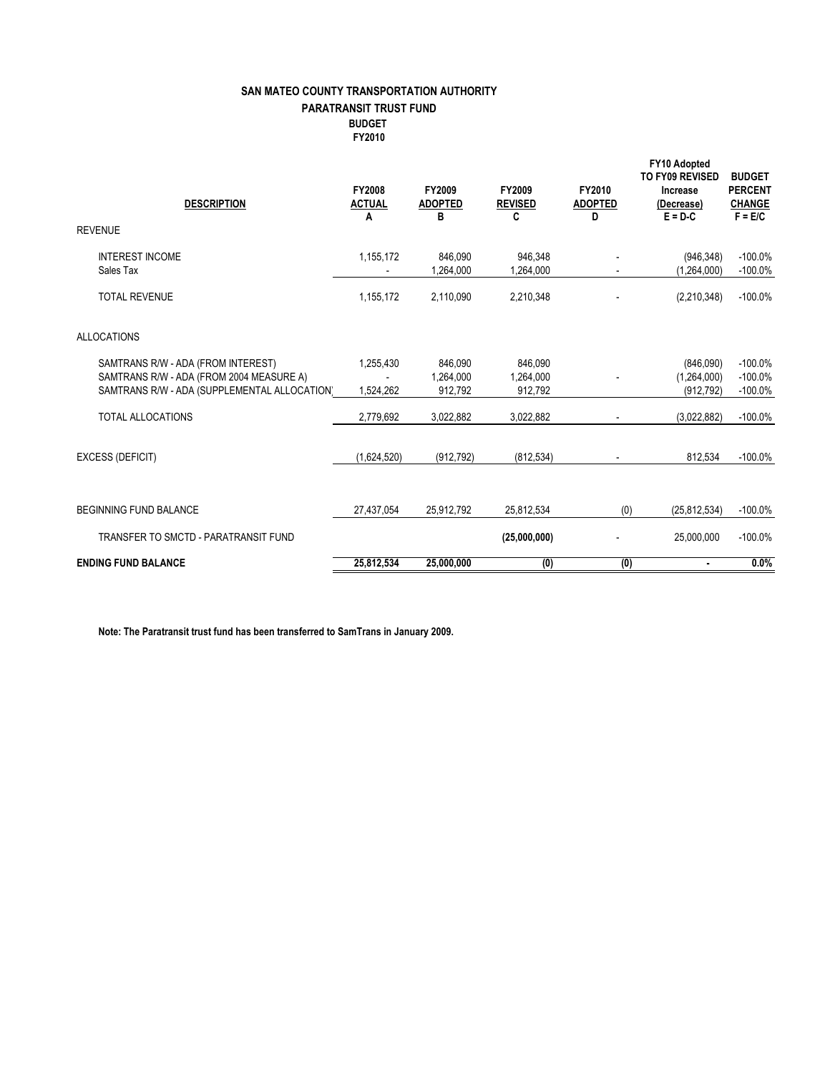## **SAN MATEO COUNTY TRANSPORTATION AUTHORITY PARATRANSIT TRUST FUND BUDGET FY2010**

|                               | <b>DESCRIPTION</b>                                                                                                             | FY2008<br><b>ACTUAL</b><br>A | FY2009<br><b>ADOPTED</b><br>в   | FY2009<br><b>REVISED</b><br>C   | FY2010<br><b>ADOPTED</b><br>D | FY10 Adopted<br>TO FY09 REVISED<br>Increase<br>(Decrease)<br>$E = D - C$ | <b>BUDGET</b><br><b>PERCENT</b><br><b>CHANGE</b><br>$F = E/C$ |
|-------------------------------|--------------------------------------------------------------------------------------------------------------------------------|------------------------------|---------------------------------|---------------------------------|-------------------------------|--------------------------------------------------------------------------|---------------------------------------------------------------|
| <b>REVENUE</b>                |                                                                                                                                |                              |                                 |                                 |                               |                                                                          |                                                               |
|                               | <b>INTEREST INCOME</b><br>Sales Tax                                                                                            | 1,155,172                    | 846.090<br>1,264,000            | 946,348<br>1,264,000            |                               | (946, 348)<br>(1,264,000)                                                | $-100.0%$<br>$-100.0%$                                        |
|                               | <b>TOTAL REVENUE</b>                                                                                                           | 1,155,172                    | 2,110,090                       | 2,210,348                       |                               | (2,210,348)                                                              | $-100.0\%$                                                    |
| <b>ALLOCATIONS</b>            |                                                                                                                                |                              |                                 |                                 |                               |                                                                          |                                                               |
|                               | SAMTRANS R/W - ADA (FROM INTEREST)<br>SAMTRANS R/W - ADA (FROM 2004 MEASURE A)<br>SAMTRANS R/W - ADA (SUPPLEMENTAL ALLOCATION) | 1,255,430<br>1,524,262       | 846.090<br>1.264.000<br>912,792 | 846.090<br>1,264,000<br>912,792 |                               | (846,090)<br>(1,264,000)<br>(912, 792)                                   | $-100.0\%$<br>$-100.0%$<br>$-100.0%$                          |
|                               | <b>TOTAL ALLOCATIONS</b>                                                                                                       | 2,779,692                    | 3,022,882                       | 3,022,882                       |                               | (3.022.882)                                                              | $-100.0\%$                                                    |
|                               | <b>EXCESS (DEFICIT)</b>                                                                                                        | (1,624,520)                  | (912, 792)                      | (812, 534)                      |                               | 812,534                                                                  | $-100.0%$                                                     |
| <b>BEGINNING FUND BALANCE</b> |                                                                                                                                | 27,437,054                   | 25,912,792                      | 25,812,534                      | (0)                           | (25, 812, 534)                                                           | $-100.0%$                                                     |
|                               | TRANSFER TO SMCTD - PARATRANSIT FUND                                                                                           |                              |                                 | (25,000,000)                    |                               | 25,000,000                                                               | $-100.0%$                                                     |
|                               | <b>ENDING FUND BALANCE</b>                                                                                                     | 25,812,534                   | 25,000,000                      | (0)                             | (0)                           | $\blacksquare$                                                           | 0.0%                                                          |

**Note: The Paratransit trust fund has been transferred to SamTrans in January 2009.**